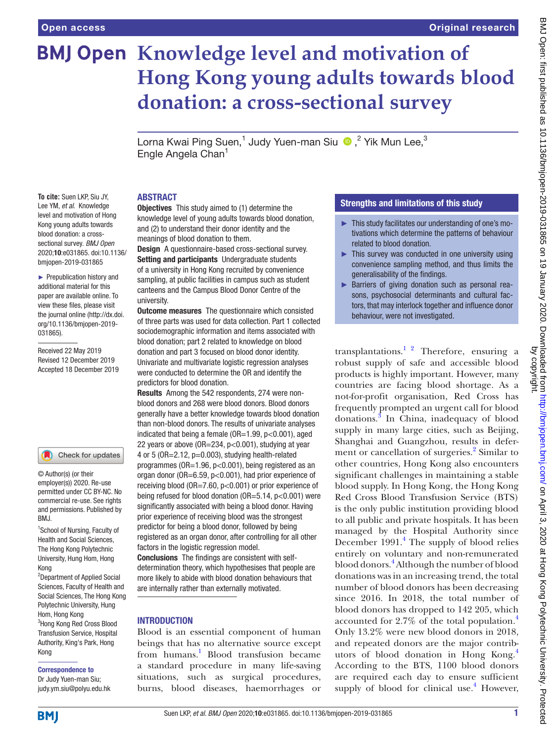# **BMJ Open Knowledge level and motivation of Hong Kong young adults towards blood donation: a cross-sectional survey**

Lorna Kwai Ping Suen,<sup>1</sup> Judy Yuen-man Siu  $\bigcirc$ ,<sup>2</sup> Yik Mun Lee,<sup>3</sup> Engle Angela Chan<sup>1</sup>

## **ABSTRACT**

**To cite:** Suen LKP, Siu JY, Lee YM, *et al*. Knowledge level and motivation of Hong Kong young adults towards blood donation: a crosssectional survey. *BMJ Open* 2020;10:e031865. doi:10.1136/ bmjopen-2019-031865

► Prepublication history and additional material for this paper are available online. To view these files, please visit the journal online (http://dx.doi. org/10.1136/bmjopen-2019- 031865).

Received 22 May 2019 Revised 12 December 2019 Accepted 18 December 2019

#### Check for updates

© Author(s) (or their employer(s)) 2020. Re-use permitted under CC BY-NC. No commercial re-use. See rights and permissions. Published by BMJ.

<sup>1</sup>School of Nursing, Faculty of Health and Social Sciences, The Hong Kong Polytechnic University, Hung Hom, Hong Kong

2 Department of Applied Social Sciences, Faculty of Health and Social Sciences, The Hong Kong Polytechnic University, Hung Hom, Hong Kong <sup>3</sup>Hong Kong Red Cross Blood Transfusion Service, Hospital Authority, King's Park, Hong Kong

# Correspondence to

Dr Judy Yuen-man Siu; judy.ym.siu@polyu.edu.hk **Objectives** This study aimed to (1) determine the knowledge level of young adults towards blood donation, and (2) to understand their donor identity and the meanings of blood donation to them.

Design A questionnaire-based cross-sectional survey. Setting and participants Undergraduate students of a university in Hong Kong recruited by convenience sampling, at public facilities in campus such as student canteens and the Campus Blood Donor Centre of the university.

**Outcome measures** The questionnaire which consisted of three parts was used for data collection. Part 1 collected sociodemographic information and items associated with blood donation; part 2 related to knowledge on blood donation and part 3 focused on blood donor identity. Univariate and multivariate logistic regression analyses were conducted to determine the OR and identify the predictors for blood donation.

Results Among the 542 respondents, 274 were nonblood donors and 268 were blood donors. Blood donors generally have a better knowledge towards blood donation than non-blood donors. The results of univariate analyses indicated that being a female  $(OR=1.99, p<0.001)$ , aged 22 years or above ( $OR = 234$ ,  $p < 0.001$ ), studying at year 4 or 5 (OR=2.12, p=0.003), studying health-related programmes (OR=1.96, p<0.001), being registered as an organ donor (OR=6.59, p<0.001), had prior experience of receiving blood (OR=7.60, p<0.001) or prior experience of being refused for blood donation (OR=5.14, p<0.001) were significantly associated with being a blood donor. Having prior experience of receiving blood was the strongest predictor for being a blood donor, followed by being registered as an organ donor, after controlling for all other factors in the logistic regression model.

Conclusions The findings are consistent with selfdetermination theory, which hypothesises that people are more likely to abide with blood donation behaviours that are internally rather than externally motivated.

## **INTRODUCTION**

Blood is an essential component of human beings that has no alternative source except from humans.<sup>1</sup> Blood transfusion became a standard procedure in many life-saving situations, such as surgical procedures, burns, blood diseases, haemorrhages or

## Strengths and limitations of this study

- ► This study facilitates our understanding of one's motivations which determine the patterns of behaviour related to blood donation.
- $\blacktriangleright$  This survey was conducted in one university using convenience sampling method, and thus limits the generalisability of the findings.
- ► Barriers of giving donation such as personal reasons, psychosocial determinants and cultural factors, that may interlock together and influence donor behaviour, were not investigated.

transplantations.<sup>1 2</sup> Therefore, ensuring a robust supply of safe and accessible blood products is highly important. However, many countries are facing blood shortage. As a not-for-profit organisation, Red Cross has frequently prompted an urgent call for blood donations.[3](#page-7-1) In China, inadequacy of blood supply in many large cities, such as Beijing, Shanghai and Guangzhou, results in defer-ment or cancellation of surgeries.<sup>[2](#page-7-2)</sup> Similar to other countries, Hong Kong also encounters significant challenges in maintaining a stable blood supply. In Hong Kong, the Hong Kong Red Cross Blood Transfusion Service (BTS) is the only public institution providing blood to all public and private hospitals. It has been managed by the Hospital Authority since December 1991.<sup>[4](#page-7-3)</sup> The supply of blood relies entirely on voluntary and non-remunerated blood donors.<sup>[4](#page-7-3)</sup> Although the number of blood donations was in an increasing trend, the total number of blood donors has been decreasing since 2016. In 2018, the total number of blood donors has dropped to 142 205, which accounted for 2.7% of the total population.[4](#page-7-3) Only 13.2% were new blood donors in 2018, and repeated donors are the major contributors of blood donation in Hong Kong.[4](#page-7-3) According to the BTS, 1100 blood donors are required each day to ensure sufficient supply of blood for clinical use.<sup>4</sup> However,

**BMI**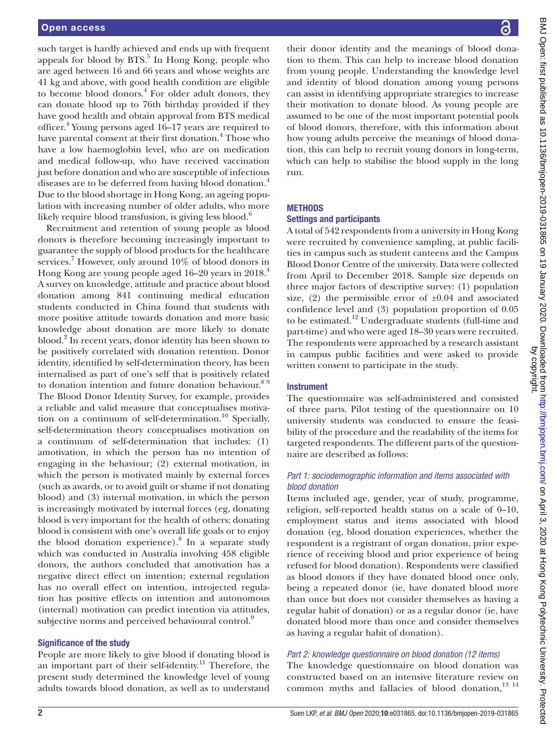such target is hardly achieved and ends up with frequent appeals for blood by  $BTS$ .<sup>5</sup> In Hong Kong, people who are aged between 16 and 66 years and whose weights are 41 kg and above, with good health condition are eligible to become blood donors.<sup>[4](#page-7-3)</sup> For older adult donors, they can donate blood up to 76th birthday provided if they have good health and obtain approval from BTS medical officer.<sup>[4](#page-7-3)</sup> Young persons aged 16–17 years are required to have parental consent at their first donation.<sup>[4](#page-7-3)</sup> Those who have a low haemoglobin level, who are on medication and medical follow-up, who have received vaccination just before donation and who are susceptible of infectious diseases are to be deferred from having blood donation.<sup>[4](#page-7-3)</sup> Due to the blood shortage in Hong Kong, an ageing population with increasing number of older adults, who more likely require blood transfusion, is giving less blood.<sup>[6](#page-7-5)</sup>

Recruitment and retention of young people as blood donors is therefore becoming increasingly important to guarantee the supply of blood products for the healthcare services.<sup>7</sup> However, only around 10% of blood donors in Hong Kong are young people aged 16–20 years in 2018.[4](#page-7-3) A survey on knowledge, attitude and practice about blood donation among 841 continuing medical education students conducted in China found that students with more positive attitude towards donation and more basic knowledge about donation are more likely to donate blood.<sup>[2](#page-7-2)</sup> In recent years, donor identity has been shown to be positively correlated with donation retention. Donor identity, identified by self-determination theory, has been internalised as part of one's self that is positively related to donation intention and future donation behaviour.<sup>89</sup> The Blood Donor Identity Survey, for example, provides a reliable and valid measure that conceptualises motivation on a continuum of self-determination.<sup>10</sup> Specially, self-determination theory conceptualises motivation on a continuum of self-determination that includes: (1) amotivation, in which the person has no intention of engaging in the behaviour; (2) external motivation, in which the person is motivated mainly by external forces (such as awards, or to avoid guilt or shame if not donating blood) and (3) internal motivation, in which the person is increasingly motivated by internal forces (eg, donating blood is very important for the health of others; donating blood is consistent with one's overall life goals or to enjoy the blood donation experience). $8 \text{ In a separate study}$  $8 \text{ In a separate study}$ which was conducted in Australia involving 458 eligible donors, the authors concluded that amotivation has a negative direct effect on intention; external regulation has no overall effect on intention, introjected regulation has positive effects on intention and autonomous (internal) motivation can predict intention via attitudes, subjective norms and perceived behavioural control.<sup>9</sup>

#### Significance of the study

People are more likely to give blood if donating blood is an important part of their self-identity.<sup>11</sup> Therefore, the present study determined the knowledge level of young adults towards blood donation, as well as to understand

BMJ Open: first published as 10.1136/bmjopen-2019-031865 on 19 January 2020. Downloaded from http://bmjopen.bmj.com/ on April 3, 2020 at Hong Kong Polytechnic University. Protected<br>by copyright published as 10.1136/bmjopen BMJ Open: first published as 10.1136/bmjopen-2019-0319. Bon 19. January 2020. Downloaded from: hom <http://bmjopen.bmj.com/> BMJ April 3020 at Hong Kong Polytechnic University. Protected by copyright.

their donor identity and the meanings of blood donation to them. This can help to increase blood donation from young people. Understanding the knowledge level and identity of blood donation among young persons can assist in identifying appropriate strategies to increase their motivation to donate blood. As young people are assumed to be one of the most important potential pools of blood donors, therefore, with this information about how young adults perceive the meanings of blood donation, this can help to recruit young donors in long-term, which can help to stabilise the blood supply in the long run.

#### **METHODS**

## Settings and participants

A total of 542 respondents from a university in Hong Kong were recruited by convenience sampling, at public facilities in campus such as student canteens and the Campus Blood Donor Centre of the university. Data were collected from April to December 2018. Sample size depends on three major factors of descriptive survey: (1) population size,  $(2)$  the permissible error of  $\pm 0.04$  and associated confidence level and (3) population proportion of 0.05 to be estimated.<sup>12</sup> Undergraduate students (full-time and part-time) and who were aged 18–30 years were recruited. The respondents were approached by a research assistant in campus public facilities and were asked to provide written consent to participate in the study.

#### **Instrument**

The questionnaire was self-administered and consisted of three parts. Pilot testing of the questionnaire on 10 university students was conducted to ensure the feasibility of the procedure and the readability of the items for targeted respondents. The different parts of the questionnaire are described as follows:

## *Part 1: sociodemographic information and items associated with blood donation*

Items included age, gender, year of study, programme, religion, self-reported health status on a scale of 0–10, employment status and items associated with blood donation (eg, blood donation experiences, whether the respondent is a registrant of organ donation, prior experience of receiving blood and prior experience of being refused for blood donation). Respondents were classified as blood donors if they have donated blood once only, being a repeated donor (ie, have donated blood more than once but does not consider themselves as having a regular habit of donation) or as a regular donor (ie, have donated blood more than once and consider themselves as having a regular habit of donation).

## *Part 2: knowledge questionnaire on blood donation (12 items)*

The knowledge questionnaire on blood donation was constructed based on an intensive literature review on common myths and fallacies of blood donation,<sup>13</sup><sup>14</sup>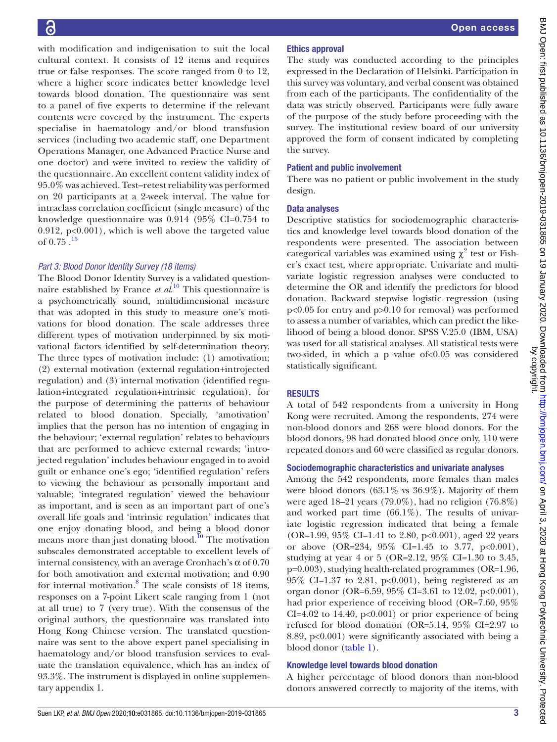with modification and indigenisation to suit the local cultural context. It consists of 12 items and requires true or false responses. The score ranged from 0 to 12, where a higher score indicates better knowledge level towards blood donation. The questionnaire was sent to a panel of five experts to determine if the relevant contents were covered by the instrument. The experts specialise in haematology and/or blood transfusion services (including two academic staff, one Department Operations Manager, one Advanced Practice Nurse and one doctor) and were invited to review the validity of the questionnaire. An excellent content validity index of 95.0% was achieved. Test–retest reliability was performed on 20 participants at a 2-week interval. The value for intraclass correlation coefficient (single measure) of the knowledge questionnaire was 0.914 (95% CI=0.754 to 0.912, p<0.001), which is well above the targeted value of  $0.75$ .<sup>[15](#page-7-13)</sup>

# *Part 3: Blood Donor Identity Survey (18 items)*

The Blood Donor Identity Survey is a validated questionnaire established by France *et al*. [10](#page-7-8) This questionnaire is a psychometrically sound, multidimensional measure that was adopted in this study to measure one's motivations for blood donation. The scale addresses three different types of motivation underpinned by six motivational factors identified by self-determination theory. The three types of motivation include: (1) amotivation; (2) external motivation (external regulation+introjected regulation) and (3) internal motivation (identified regulation+integrated regulation+intrinsic regulation), for the purpose of determining the patterns of behaviour related to blood donation. Specially, 'amotivation' implies that the person has no intention of engaging in the behaviour; 'external regulation' relates to behaviours that are performed to achieve external rewards; 'introjected regulation' includes behaviour engaged in to avoid guilt or enhance one's ego; 'identified regulation' refers to viewing the behaviour as personally important and valuable; 'integrated regulation' viewed the behaviour as important, and is seen as an important part of one's overall life goals and 'intrinsic regulation' indicates that one enjoy donating blood, and being a blood donor means more than just donating blood.<sup>[10](#page-7-8)</sup> The motivation subscales demonstrated acceptable to excellent levels of internal consistency, with an average Cronhach's  $\alpha$  of 0.70 for both amotivation and external motivation; and 0.90 for internal motivation.<sup>[8](#page-7-7)</sup> The scale consists of 18 items, responses on a 7-point Likert scale ranging from 1 (not at all true) to 7 (very true). With the consensus of the original authors, the questionnaire was translated into Hong Kong Chinese version. The translated questionnaire was sent to the above expert panel specialising in haematology and/or blood transfusion services to evaluate the translation equivalence, which has an index of 93.3%. The instrument is displayed in [online supplemen](https://dx.doi.org/10.1136/bmjopen-2019-031865)[tary appendix 1](https://dx.doi.org/10.1136/bmjopen-2019-031865).

# Ethics approval

The study was conducted according to the principles expressed in the Declaration of Helsinki. Participation in this survey was voluntary, and verbal consent was obtained from each of the participants. The confidentiality of the data was strictly observed. Participants were fully aware of the purpose of the study before proceeding with the survey. The institutional review board of our university approved the form of consent indicated by completing the survey.

# Patient and public involvement

There was no patient or public involvement in the study design.

# Data analyses

Descriptive statistics for sociodemographic characteristics and knowledge level towards blood donation of the respondents were presented. The association between categorical variables was examined using  $\chi^2$  test or Fisher's exact test, where appropriate. Univariate and multivariate logistic regression analyses were conducted to determine the OR and identify the predictors for blood donation. Backward stepwise logistic regression (using p<0.05 for entry and p>0.10 for removal) was performed to assess a number of variables, which can predict the likelihood of being a blood donor. SPSS V.25.0 (IBM, USA) was used for all statistical analyses. All statistical tests were two-sided, in which a p value of<0.05 was considered statistically significant.

# **RESULTS**

A total of 542 respondents from a university in Hong Kong were recruited. Among the respondents, 274 were non-blood donors and 268 were blood donors. For the blood donors, 98 had donated blood once only, 110 were repeated donors and 60 were classified as regular donors.

# Sociodemographic characteristics and univariate analyses

Among the 542 respondents, more females than males were blood donors (63.1% vs 36.9%). Majority of them were aged  $18-21$  years (79.0%), had no religion (76.8%) and worked part time  $(66.1\%)$ . The results of univariate logistic regression indicated that being a female (OR=1.99, 95% CI=1.41 to 2.80, p<0.001), aged 22 years or above  $(OR=234, 95\% \text{ CI}=1.45 \text{ to } 3.77, \text{ p<0.001}),$ studying at year 4 or 5 (OR=2.12, 95% CI=1.30 to 3.45, p=0.003), studying health-related programmes (OR=1.96,  $95\%$  CI=1.37 to 2.81, p<0.001), being registered as an organ donor (OR=6.59, 95% CI=3.61 to 12.02, p<0.001), had prior experience of receiving blood (OR=7.60, 95%  $CI=4.02$  to 14.40,  $p<0.001$ ) or prior experience of being refused for blood donation (OR=5.14, 95% CI=2.97 to 8.89, p<0.001) were significantly associated with being a blood donor ([table](#page-3-0) 1).

# Knowledge level towards blood donation

A higher percentage of blood donors than non-blood donors answered correctly to majority of the items, with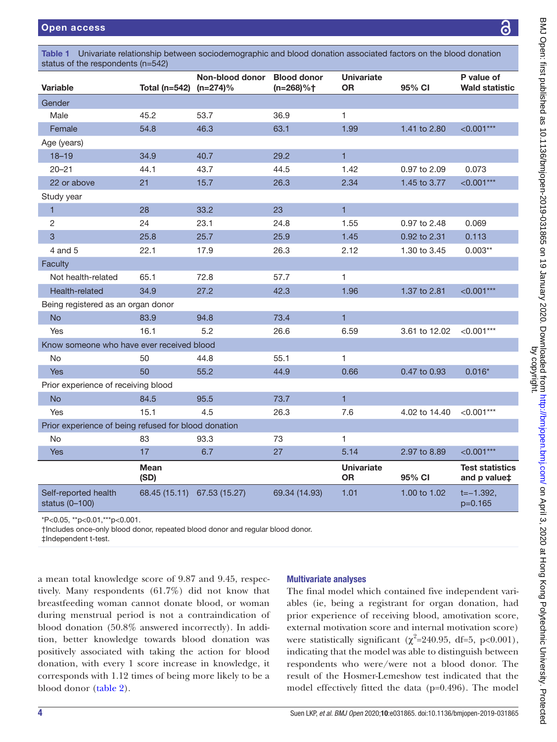†Includes once-only blood donor, repeated blood donor and regular blood donor. ‡Independent t-test. a mean total knowledge score of 9.87 and 9.45, respectively. Many respondents (61.7%) did not know that breastfeeding woman cannot donate blood, or woman during menstrual period is not a contraindication of blood donation (50.8% answered incorrectly). In addition, better knowledge towards blood donation was positively associated with taking the action for blood donation, with every 1 score increase in knowledge, it corresponds with 1.12 times of being more likely to be a blood donor [\(table](#page-4-0) 2).

\*P<0.05, \*\*p<0.01,\*\*\*p<0.001.

# Multivariate analyses

The final model which contained five independent variables (ie, being a registrant for organ donation, had prior experience of receiving blood, amotivation score, external motivation score and internal motivation score) were statistically significant ( $\chi^2$ =240.95, df=5, p<0.001), indicating that the model was able to distinguish between respondents who were/were not a blood donor. The result of the Hosmer-Lemeshow test indicated that the model effectively fitted the data (p=0.496). The model

<span id="page-3-0"></span>Table 1 Univariate relationship between sociodemographic and blood donation associated factors on the blood donation status of the respondents (n=542)

| <b>Variable</b>                                      | Total (n=542)       | Non-blood donor<br>$(n=274)\%$ | <b>Blood donor</b><br>$(n=268)\%$ <sup>+</sup> | <b>Univariate</b><br><b>OR</b> | 95% CI        | P value of<br><b>Wald statistic</b>    |
|------------------------------------------------------|---------------------|--------------------------------|------------------------------------------------|--------------------------------|---------------|----------------------------------------|
| Gender                                               |                     |                                |                                                |                                |               |                                        |
| Male                                                 | 45.2                | 53.7                           | 36.9                                           | $\mathbf{1}$                   |               |                                        |
| Female                                               | 54.8                | 46.3                           | 63.1                                           | 1.99                           | 1.41 to 2.80  | $< 0.001***$                           |
| Age (years)                                          |                     |                                |                                                |                                |               |                                        |
| $18 - 19$                                            | 34.9                | 40.7                           | 29.2                                           | $\mathbf{1}$                   |               |                                        |
| $20 - 21$                                            | 44.1                | 43.7                           | 44.5                                           | 1.42                           | 0.97 to 2.09  | 0.073                                  |
| 22 or above                                          | 21                  | 15.7                           | 26.3                                           | 2.34                           | 1.45 to 3.77  | $< 0.001***$                           |
| Study year                                           |                     |                                |                                                |                                |               |                                        |
| $\mathbf{1}$                                         | 28                  | 33.2                           | 23                                             | $\mathbf{1}$                   |               |                                        |
| $\overline{c}$                                       | 24                  | 23.1                           | 24.8                                           | 1.55                           | 0.97 to 2.48  | 0.069                                  |
| 3                                                    | 25.8                | 25.7                           | 25.9                                           | 1.45                           | 0.92 to 2.31  | 0.113                                  |
| 4 and 5                                              | 22.1                | 17.9                           | 26.3                                           | 2.12                           | 1.30 to 3.45  | $0.003**$                              |
| Faculty                                              |                     |                                |                                                |                                |               |                                        |
| Not health-related                                   | 65.1                | 72.8                           | 57.7                                           | 1                              |               |                                        |
| Health-related                                       | 34.9                | 27.2                           | 42.3                                           | 1.96                           | 1.37 to 2.81  | $< 0.001***$                           |
| Being registered as an organ donor                   |                     |                                |                                                |                                |               |                                        |
| <b>No</b>                                            | 83.9                | 94.8                           | 73.4                                           | $\mathbf{1}$                   |               |                                        |
| Yes                                                  | 16.1                | 5.2                            | 26.6                                           | 6.59                           | 3.61 to 12.02 | $< 0.001***$                           |
| Know someone who have ever received blood            |                     |                                |                                                |                                |               |                                        |
| <b>No</b>                                            | 50                  | 44.8                           | 55.1                                           | $\mathbf{1}$                   |               |                                        |
| <b>Yes</b>                                           | 50                  | 55.2                           | 44.9                                           | 0.66                           | 0.47 to 0.93  | $0.016*$                               |
| Prior experience of receiving blood                  |                     |                                |                                                |                                |               |                                        |
| <b>No</b>                                            | 84.5                | 95.5                           | 73.7                                           | $\overline{1}$                 |               |                                        |
| Yes                                                  | 15.1                | 4.5                            | 26.3                                           | 7.6                            | 4.02 to 14.40 | $< 0.001***$                           |
| Prior experience of being refused for blood donation |                     |                                |                                                |                                |               |                                        |
| No                                                   | 83                  | 93.3                           | 73                                             | $\mathbf{1}$                   |               |                                        |
| <b>Yes</b>                                           | 17                  | 6.7                            | 27                                             | 5.14                           | 2.97 to 8.89  | $< 0.001***$                           |
|                                                      | <b>Mean</b><br>(SD) |                                |                                                | <b>Univariate</b><br><b>OR</b> | 95% CI        | <b>Test statistics</b><br>and p value‡ |
| Self-reported health<br>status (0-100)               | 68.45 (15.11)       | 67.53 (15.27)                  | 69.34 (14.93)                                  | 1.01                           | 1.00 to 1.02  | $t=-1.392$ ,<br>$p=0.165$              |

ခြ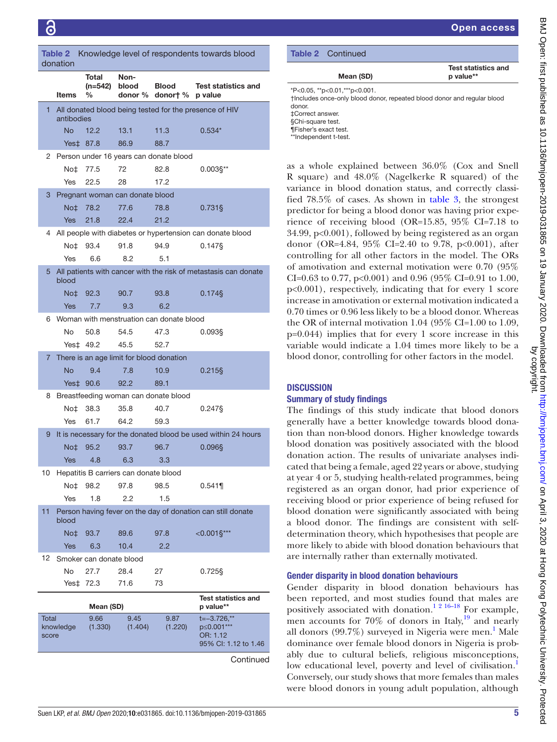<span id="page-4-0"></span>

| Knowledge level of respondents towards blood<br>Table 2<br>donation       |                                        |                              |                                          |                                          |                                                                 |  |
|---------------------------------------------------------------------------|----------------------------------------|------------------------------|------------------------------------------|------------------------------------------|-----------------------------------------------------------------|--|
|                                                                           | <b>Items</b>                           | <b>Total</b><br>(n=542)<br>% | Non-<br>blood<br>donor %                 | <b>Blood</b><br>donor† % p value         | <b>Test statistics and</b>                                      |  |
| All donated blood being tested for the presence of HIV<br>1<br>antibodies |                                        |                              |                                          |                                          |                                                                 |  |
|                                                                           | <b>No</b>                              | 12.2                         | 13.1                                     | 11.3                                     | $0.534*$                                                        |  |
|                                                                           |                                        | Yest 87.8                    | 86.9                                     | 88.7                                     |                                                                 |  |
| 2                                                                         | Person under 16 years can donate blood |                              |                                          |                                          |                                                                 |  |
|                                                                           | No‡                                    | 77.5                         | 72                                       | 82.8                                     | $0.003$ §**                                                     |  |
|                                                                           | Yes                                    | 22.5                         | 28                                       | 17.2                                     |                                                                 |  |
| 3                                                                         |                                        |                              | Pregnant woman can donate blood          |                                          |                                                                 |  |
|                                                                           |                                        | No‡ 78.2                     | 77.6                                     | 78.8                                     | $0.731$ §                                                       |  |
|                                                                           | Yes                                    | 21.8                         | 22.4                                     | 21.2                                     |                                                                 |  |
| 4                                                                         |                                        |                              |                                          |                                          | All people with diabetes or hypertension can donate blood       |  |
|                                                                           | No‡                                    | 93.4                         | 91.8                                     | 94.9                                     | $0.147$ §                                                       |  |
|                                                                           | Yes                                    | 6.6                          | 8.2                                      | 5.1                                      |                                                                 |  |
| 5                                                                         | blood                                  |                              |                                          |                                          | All patients with cancer with the risk of metastasis can donate |  |
|                                                                           | No‡                                    | 92.3                         | 90.7                                     | 93.8                                     | $0.174$ §                                                       |  |
|                                                                           | <b>Yes</b>                             | 7.7                          | 9.3                                      | 6.2                                      |                                                                 |  |
| 6                                                                         |                                        |                              |                                          | Woman with menstruation can donate blood |                                                                 |  |
|                                                                           | No                                     | 50.8                         | 54.5                                     | 47.3                                     | 0.093§                                                          |  |
|                                                                           |                                        | Yes‡ 49.2                    | 45.5                                     | 52.7                                     |                                                                 |  |
| $\overline{7}$                                                            |                                        |                              | There is an age limit for blood donation |                                          |                                                                 |  |
|                                                                           | No                                     | 9.4                          | 7.8                                      | 10.9                                     | $0.215$ §                                                       |  |
|                                                                           |                                        | Yes‡ 90.6                    | 92.2                                     | 89.1                                     |                                                                 |  |
| 8                                                                         |                                        |                              |                                          | Breastfeeding woman can donate blood     |                                                                 |  |
|                                                                           | No‡                                    | 38.3                         | 35.8                                     | 40.7                                     | $0.247$ §                                                       |  |
|                                                                           | 61.7<br>64.2<br>Yes<br>59.3            |                              |                                          |                                          |                                                                 |  |
| 9                                                                         |                                        |                              |                                          |                                          | It is necessary for the donated blood be used within 24 hours   |  |
|                                                                           | No‡                                    | 95.2                         | 93.7                                     | 96.7                                     | 0.096§                                                          |  |
|                                                                           | Yes                                    | 4.8                          | 6.3                                      | 3.3                                      |                                                                 |  |
| 10                                                                        |                                        |                              | Hepatitis B carriers can donate blood    |                                          |                                                                 |  |
|                                                                           | No‡                                    | 98.2                         | 97.8                                     | 98.5                                     | 0.541                                                           |  |
|                                                                           | Yes                                    | 1.8                          | 2.2                                      | 1.5                                      |                                                                 |  |
| 11                                                                        | blood                                  |                              |                                          |                                          | Person having fever on the day of donation can still donate     |  |
|                                                                           | No‡                                    | 93.7                         | 89.6                                     | 97.8                                     | $< 0.001$ §***                                                  |  |
|                                                                           | Yes                                    | 6.3                          | 10.4                                     | 2.2                                      |                                                                 |  |
| 12                                                                        |                                        | Smoker can donate blood      |                                          |                                          |                                                                 |  |
|                                                                           | No                                     | 27.7                         | 28.4                                     | 27                                       | $0.725$ §                                                       |  |
|                                                                           | Yes‡                                   | 72.3                         | 71.6                                     | 73                                       |                                                                 |  |
|                                                                           |                                        | Mean (SD)                    |                                          |                                          | <b>Test statistics and</b><br>p value**                         |  |
| Total                                                                     | knowledge                              | 9.66<br>(1.330)              | 9.45<br>(1.404)                          | 9.87<br>(1.220)                          | $t=-3.726$ ,**<br>p≤0.001***                                    |  |
| score                                                                     |                                        |                              |                                          |                                          | OR: 1.12                                                        |  |
|                                                                           |                                        |                              |                                          |                                          | 95% CI: 1.12 to 1.46                                            |  |
|                                                                           |                                        |                              |                                          |                                          | Continued                                                       |  |

|                                                                                                                     | <b>Table 2</b> Continued |                                         |  |  |  |
|---------------------------------------------------------------------------------------------------------------------|--------------------------|-----------------------------------------|--|--|--|
|                                                                                                                     | Mean (SD)                | <b>Test statistics and</b><br>p value** |  |  |  |
| *P<0.05, **p<0.01, ***p<0.001.<br>flncludes once-only blood donor, repeated blood donor and reqular blood<br>donor. |                          |                                         |  |  |  |
| ‡Correct answer.                                                                                                    |                          |                                         |  |  |  |
| §Chi-square test.                                                                                                   |                          |                                         |  |  |  |
| <b>¶Fisher's exact test.</b>                                                                                        |                          |                                         |  |  |  |

\*Independent t-test.

as a whole explained between 36.0% (Cox and Snell R square) and 48.0% (Nagelkerke R squared) of the variance in blood donation status, and correctly classified 78.5% of cases. As shown in [table](#page-5-0) 3, the strongest predictor for being a blood donor was having prior experience of receiving blood (OR=15.85, 95% CI=7.18 to 34.99, p<0.001), followed by being registered as an organ donor (OR=4.84,  $95\%$  CI=2.40 to 9.78, p<0.001), after controlling for all other factors in the model. The ORs of amotivation and external motivation were 0.70 (95% CI=0.63 to 0.77,  $p<0.001$ ) and 0.96 (95% CI=0.91 to 1.00, p<0.001), respectively, indicating that for every 1 score increase in amotivation or external motivation indicated a 0.70 times or 0.96 less likely to be a blood donor. Whereas the OR of internal motivation 1.04 (95% CI=1.00 to 1.09, p=0.044) implies that for every 1 score increase in this variable would indicate a 1.04 times more likely to be a blood donor, controlling for other factors in the model.

# **DISCUSSION** Summary of study findings

The findings of this study indicate that blood donors generally have a better knowledge towards blood donation than non-blood donors. Higher knowledge towards blood donation was positively associated with the blood donation action. The results of univariate analyses indicated that being a female, aged 22 years or above, studying at year 4 or 5, studying health-related programmes, being registered as an organ donor, had prior experience of receiving blood or prior experience of being refused for blood donation were significantly associated with being a blood donor. The findings are consistent with selfdetermination theory, which hypothesises that people are more likely to abide with blood donation behaviours that are internally rather than externally motivated.

# Gender disparity in blood donation behaviours

Gender disparity in blood donation behaviours has been reported, and most studies found that males are positively associated with donation.<sup>[1 2 16–18](#page-7-0)</sup> For example, men accounts for  $70\%$  of donors in Italy,  $^{19}$  and nearly all donors (99.7%) surveyed in Nigeria were men.<sup>[1](#page-7-0)</sup> Male dominance over female blood donors in Nigeria is probably due to cultural beliefs, religious misconceptions, low educational level, poverty and level of civilisation.<sup>1</sup> Conversely, our study shows that more females than males were blood donors in young adult population, although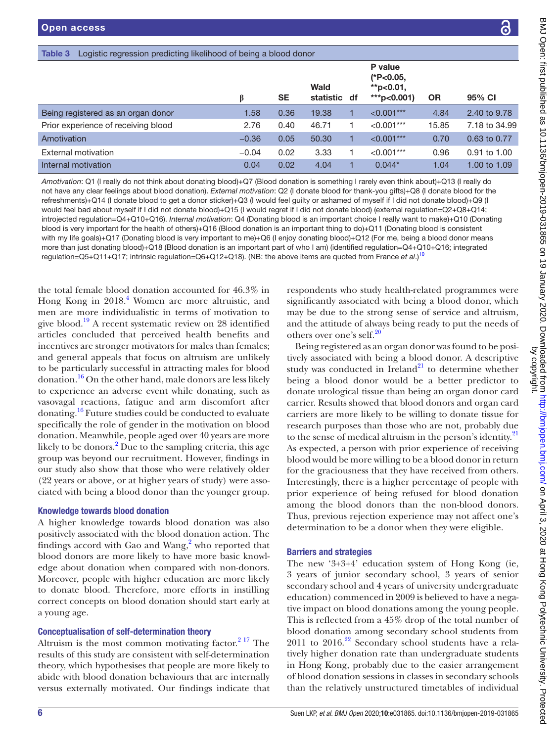## <span id="page-5-0"></span>Table 3 Logistic regression predicting likelihood of being a blood donor

| $\sim$<br>$\check{ }$<br>$\sim$     | $\sim$  |           |                      |                                                    |           |                  |
|-------------------------------------|---------|-----------|----------------------|----------------------------------------------------|-----------|------------------|
|                                     | ß       | <b>SE</b> | Wald<br>statistic df | P value<br>(*P<0.05,<br>$*$ p<0.01,<br>***p<0.001) | <b>OR</b> | 95% CI           |
| Being registered as an organ donor  | 1.58    | 0.36      | 19.38                | $< 0.001***$                                       | 4.84      | 2.40 to 9.78     |
| Prior experience of receiving blood | 2.76    | 0.40      | 46.71                | $< 0.001***$                                       | 15.85     | 7.18 to 34.99    |
| Amotivation                         | $-0.36$ | 0.05      | 50.30                | $< 0.001***$                                       | 0.70      | 0.63 to 0.77     |
| External motivation                 | $-0.04$ | 0.02      | 3.33                 | $< 0.001***$                                       | 0.96      | $0.91$ to $1.00$ |
| Internal motivation                 | 0.04    | 0.02      | 4.04                 | $0.044*$                                           | 1.04      | 1.00 to 1.09     |

*Amotivation*: Q1 (I really do not think about donating blood)+Q7 (Blood donation is something I rarely even think about)+Q13 (I really do not have any clear feelings about blood donation). *External motivation*: Q2 (I donate blood for thank-you gifts)+Q8 (I donate blood for the refreshments)+Q14 (I donate blood to get a donor sticker)+Q3 (I would feel guilty or ashamed of myself if I did not donate blood)+Q9 (I would feel bad about myself if I did not donate blood)+Q15 (I would regret if I did not donate blood) (external regulation=Q2+Q8+Q14; introjected regulation=Q4+Q10+Q16). *Internal motivation*: Q4 (Donating blood is an important choice I really want to make)+Q10 (Donating blood is very important for the health of others)+Q16 (Blood donation is an important thing to do)+Q11 (Donating blood is consistent with my life goals)+Q17 (Donating blood is very important to me)+Q6 (I enjoy donating blood)+Q12 (For me, being a blood donor means more than just donating blood)+Q18 (Blood donation is an important part of who I am) (identified regulation=Q4+Q10+Q16; integrated regulation=Q5+Q11+Q17; intrinsic regulation=Q6+Q12+Q18). (NB: the above items are quoted from France *et al*.[\)10](#page-7-8)

the total female blood donation accounted for 46.3% in Hong Kong in 2018.<sup>[4](#page-7-3)</sup> Women are more altruistic, and men are more individualistic in terms of motivation to give blood.<sup>19</sup> A recent systematic review on 28 identified articles concluded that perceived health benefits and incentives are stronger motivators for males than females; and general appeals that focus on altruism are unlikely to be particularly successful in attracting males for blood donation.[16](#page-7-15) On the other hand, male donors are less likely to experience an adverse event while donating, such as vasovagal reactions, fatigue and arm discomfort after donating[.16](#page-7-15) Future studies could be conducted to evaluate specifically the role of gender in the motivation on blood donation. Meanwhile, people aged over 40 years are more likely to be donors.<sup>[2](#page-7-2)</sup> Due to the sampling criteria, this age group was beyond our recruitment. However, findings in our study also show that those who were relatively older (22 years or above, or at higher years of study) were associated with being a blood donor than the younger group.

# Knowledge towards blood donation

A higher knowledge towards blood donation was also positively associated with the blood donation action. The findings accord with Gao and Wang, $2$  who reported that blood donors are more likely to have more basic knowledge about donation when compared with non-donors. Moreover, people with higher education are more likely to donate blood. Therefore, more efforts in instilling correct concepts on blood donation should start early at a young age.

# Conceptualisation of self-determination theory

Altruism is the most common motivating factor. $2^{17}$  The results of this study are consistent with self-determination theory, which hypothesises that people are more likely to abide with blood donation behaviours that are internally versus externally motivated. Our findings indicate that respondents who study health-related programmes were significantly associated with being a blood donor, which may be due to the strong sense of service and altruism, and the attitude of always being ready to put the needs of others over one's self.<sup>[20](#page-7-16)</sup>

Being registered as an organ donor was found to be positively associated with being a blood donor. A descriptive study was conducted in Ireland $^{21}$  to determine whether being a blood donor would be a better predictor to donate urological tissue than being an organ donor card carrier. Results showed that blood donors and organ card carriers are more likely to be willing to donate tissue for research purposes than those who are not, probably due to the sense of medical altruism in the person's identity.<sup>[21](#page-7-17)</sup> As expected, a person with prior experience of receiving blood would be more willing to be a blood donor in return for the graciousness that they have received from others. Interestingly, there is a higher percentage of people with prior experience of being refused for blood donation among the blood donors than the non-blood donors. Thus, previous rejection experience may not affect one's determination to be a donor when they were eligible.

# Barriers and strategies

The new '3+3+4' education system of Hong Kong (ie, 3 years of junior secondary school, 3 years of senior secondary school and 4 years of university undergraduate education) commenced in 2009 is believed to have a negative impact on blood donations among the young people. This is reflected from a 45% drop of the total number of blood donation among secondary school students from  $2011$  to  $2016.<sup>22</sup>$  Secondary school students have a relatively higher donation rate than undergraduate students in Hong Kong, probably due to the easier arrangement of blood donation sessions in classes in secondary schools than the relatively unstructured timetables of individual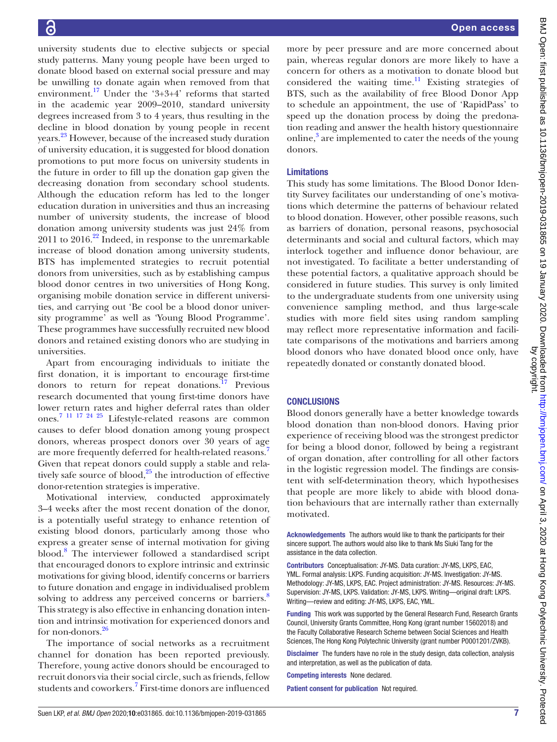university students due to elective subjects or special study patterns. Many young people have been urged to donate blood based on external social pressure and may be unwilling to donate again when removed from that environment[.17](#page-7-19) Under the '3+3+4' reforms that started in the academic year 2009–2010, standard university degrees increased from 3 to 4 years, thus resulting in the decline in blood donation by young people in recent years.[23](#page-7-20) However, because of the increased study duration of university education, it is suggested for blood donation promotions to put more focus on university students in the future in order to fill up the donation gap given the decreasing donation from secondary school students. Although the education reform has led to the longer education duration in universities and thus an increasing number of university students, the increase of blood donation among university students was just 24% from 2011 to  $2016<sup>22</sup>$  Indeed, in response to the unremarkable increase of blood donation among university students, BTS has implemented strategies to recruit potential donors from universities, such as by establishing campus blood donor centres in two universities of Hong Kong, organising mobile donation service in different universities, and carrying out 'Be cool be a blood donor university programme' as well as 'Young Blood Programme'. These programmes have successfully recruited new blood donors and retained existing donors who are studying in universities.

Apart from encouraging individuals to initiate the first donation, it is important to encourage first-time donors to return for repeat donations[.17](#page-7-19) Previous research documented that young first-time donors have lower return rates and higher deferral rates than older ones[.7 11 17 24 25](#page-7-6) Lifestyle-related reasons are common causes to defer blood donation among young prospect donors, whereas prospect donors over 30 years of age are more frequently deferred for health-related reasons.<sup>[7](#page-7-6)</sup> Given that repeat donors could supply a stable and relatively safe source of blood, $25$  the introduction of effective donor-retention strategies is imperative.

Motivational interview, conducted approximately 3–4 weeks after the most recent donation of the donor, is a potentially useful strategy to enhance retention of existing blood donors, particularly among those who express a greater sense of internal motivation for giving blood[.8](#page-7-7) The interviewer followed a standardised script that encouraged donors to explore intrinsic and extrinsic motivations for giving blood, identify concerns or barriers to future donation and engage in individualised problem solving to address any perceived concerns or barriers.<sup>[8](#page-7-7)</sup> This strategy is also effective in enhancing donation intention and intrinsic motivation for experienced donors and for non-donors. $26$ 

The importance of social networks as a recruitment channel for donation has been reported previously. Therefore, young active donors should be encouraged to recruit donors via their social circle, such as friends, fellow students and coworkers.<sup>7</sup> First-time donors are influenced

more by peer pressure and are more concerned about pain, whereas regular donors are more likely to have a concern for others as a motivation to donate blood but considered the waiting time. $\frac{11}{11}$  $\frac{11}{11}$  $\frac{11}{11}$  Existing strategies of BTS, such as the availability of free Blood Donor App to schedule an appointment, the use of 'RapidPass' to speed up the donation process by doing the predonation reading and answer the health history questionnaire online,<sup>[3](#page-7-1)</sup> are implemented to cater the needs of the young donors.

# Limitations

This study has some limitations. The Blood Donor Identity Survey facilitates our understanding of one's motivations which determine the patterns of behaviour related to blood donation. However, other possible reasons, such as barriers of donation, personal reasons, psychosocial determinants and social and cultural factors, which may interlock together and influence donor behaviour, are not investigated. To facilitate a better understanding of these potential factors, a qualitative approach should be considered in future studies. This survey is only limited to the undergraduate students from one university using convenience sampling method, and thus large-scale studies with more field sites using random sampling may reflect more representative information and facilitate comparisons of the motivations and barriers among blood donors who have donated blood once only, have repeatedly donated or constantly donated blood.

# **CONCLUSIONS**

Blood donors generally have a better knowledge towards blood donation than non-blood donors. Having prior experience of receiving blood was the strongest predictor for being a blood donor, followed by being a registrant of organ donation, after controlling for all other factors in the logistic regression model. The findings are consistent with self-determination theory, which hypothesises that people are more likely to abide with blood donation behaviours that are internally rather than externally motivated.

Acknowledgements The authors would like to thank the participants for their sincere support. The authors would also like to thank Ms Siuki Tang for the assistance in the data collection.

Contributors Conceptualisation: JY-MS. Data curation: JY-MS, LKPS, EAC, YML. Formal analysis: LKPS. Funding acquisition: JY-MS. Investigation: JY-MS. Methodology: JY-MS, LKPS, EAC. Project administration: JY-MS. Resources: JY-MS. Supervision: JY-MS, LKPS. Validation: JY-MS, LKPS. Writing—original draft: LKPS. Writing—review and editing: JY-MS, LKPS, EAC, YML.

Funding This work was supported by the General Research Fund, Research Grants Council, University Grants Committee, Hong Kong (grant number 15602018) and the Faculty Collaborative Research Scheme between Social Sciences and Health Sciences, The Hong Kong Polytechnic University (grant number P0001201/ZVKB).

Disclaimer The funders have no role in the study design, data collection, analysis and interpretation, as well as the publication of data.

Competing interests None declared.

Patient consent for publication Not required.